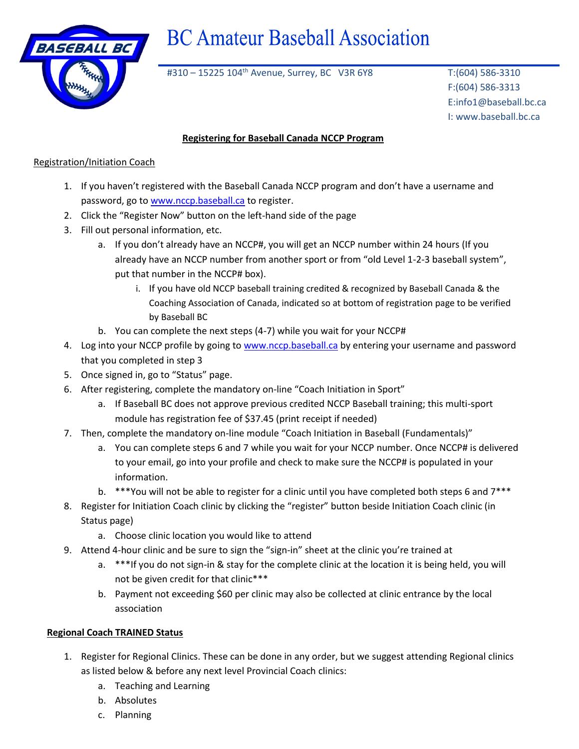

# **BC Amateur Baseball Association**

#310 – 15225 104<sup>th</sup> Avenue, Surrey, BC V3R 6Y8 T:(604) 586-3310

F:(604) 586-3313 E:info1@baseball.bc.ca I: www.baseball.bc.ca

## **Registering for Baseball Canada NCCP Program**

### Registration/Initiation Coach

- 1. If you haven't registered with the Baseball Canada NCCP program and don't have a username and password, go to [www.nccp.baseball.ca](http://www.nccp.baseball.ca/) to register.
- 2. Click the "Register Now" button on the left-hand side of the page
- 3. Fill out personal information, etc.
	- a. If you don't already have an NCCP#, you will get an NCCP number within 24 hours (If you already have an NCCP number from another sport or from "old Level 1-2-3 baseball system", put that number in the NCCP# box).
		- i. If you have old NCCP baseball training credited & recognized by Baseball Canada & the Coaching Association of Canada, indicated so at bottom of registration page to be verified by Baseball BC
	- b. You can complete the next steps (4-7) while you wait for your NCCP#
- 4. Log into your NCCP profile by going to [www.nccp.baseball.ca](http://www.nccp.baseball.ca/) by entering your username and password that you completed in step 3
- 5. Once signed in, go to "Status" page.
- 6. After registering, complete the mandatory on-line "Coach Initiation in Sport"
	- a. If Baseball BC does not approve previous credited NCCP Baseball training; this multi-sport module has registration fee of \$37.45 (print receipt if needed)
- 7. Then, complete the mandatory on-line module "Coach Initiation in Baseball (Fundamentals)"
	- a. You can complete steps 6 and 7 while you wait for your NCCP number. Once NCCP# is delivered to your email, go into your profile and check to make sure the NCCP# is populated in your information.
	- b. \*\*\*You will not be able to register for a clinic until you have completed both steps 6 and 7\*\*\*
- 8. Register for Initiation Coach clinic by clicking the "register" button beside Initiation Coach clinic (in Status page)
	- a. Choose clinic location you would like to attend
- 9. Attend 4-hour clinic and be sure to sign the "sign-in" sheet at the clinic you're trained at
	- a. \*\*\*If you do not sign-in & stay for the complete clinic at the location it is being held, you will not be given credit for that clinic\*\*\*
	- b. Payment not exceeding \$60 per clinic may also be collected at clinic entrance by the local association

### **Regional Coach TRAINED Status**

- 1. Register for Regional Clinics. These can be done in any order, but we suggest attending Regional clinics as listed below & before any next level Provincial Coach clinics:
	- a. Teaching and Learning
	- b. Absolutes
	- c. Planning